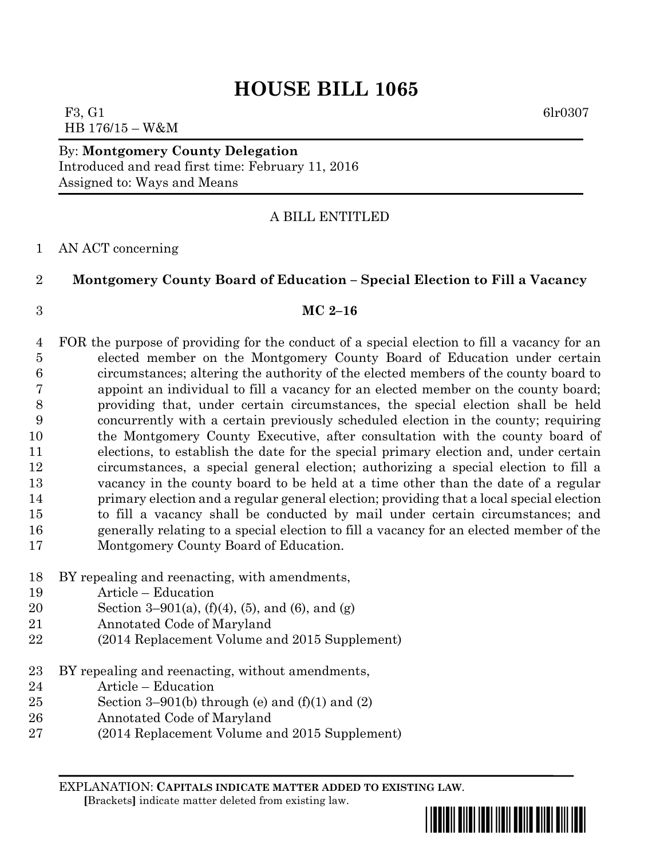F3, G1 6lr0307 HB 176/15 – W&M

By: **Montgomery County Delegation** Introduced and read first time: February 11, 2016 Assigned to: Ways and Means

# A BILL ENTITLED

### AN ACT concerning

## **Montgomery County Board of Education – Special Election to Fill a Vacancy**

### **MC 2–16**

- FOR the purpose of providing for the conduct of a special election to fill a vacancy for an elected member on the Montgomery County Board of Education under certain circumstances; altering the authority of the elected members of the county board to appoint an individual to fill a vacancy for an elected member on the county board; providing that, under certain circumstances, the special election shall be held concurrently with a certain previously scheduled election in the county; requiring the Montgomery County Executive, after consultation with the county board of elections, to establish the date for the special primary election and, under certain circumstances, a special general election; authorizing a special election to fill a vacancy in the county board to be held at a time other than the date of a regular primary election and a regular general election; providing that a local special election to fill a vacancy shall be conducted by mail under certain circumstances; and generally relating to a special election to fill a vacancy for an elected member of the Montgomery County Board of Education.
- BY repealing and reenacting, with amendments,
- Article Education
- Section 3–901(a), (f)(4), (5), and (6), and (g)
- Annotated Code of Maryland
- (2014 Replacement Volume and 2015 Supplement)
- BY repealing and reenacting, without amendments,
- Article Education
- 25 Section 3–901(b) through (e) and  $(f)(1)$  and  $(2)$
- Annotated Code of Maryland
- (2014 Replacement Volume and 2015 Supplement)

EXPLANATION: **CAPITALS INDICATE MATTER ADDED TO EXISTING LAW**.

 **[**Brackets**]** indicate matter deleted from existing law.

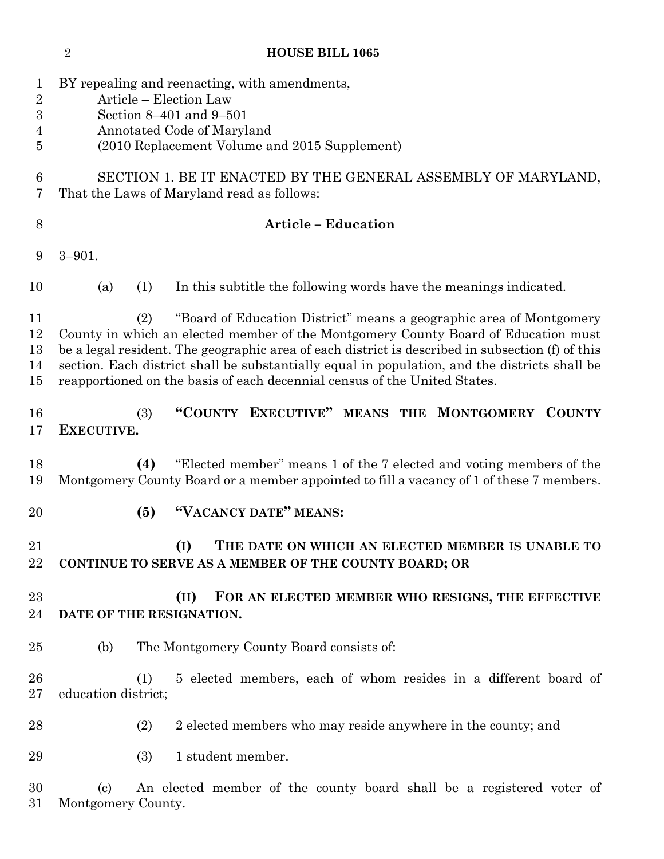**HOUSE BILL 1065** BY repealing and reenacting, with amendments, Article – Election Law Section 8–401 and 9–501 Annotated Code of Maryland (2010 Replacement Volume and 2015 Supplement) SECTION 1. BE IT ENACTED BY THE GENERAL ASSEMBLY OF MARYLAND, That the Laws of Maryland read as follows: **Article – Education** 3–901. (a) (1) In this subtitle the following words have the meanings indicated. (2) "Board of Education District" means a geographic area of Montgomery County in which an elected member of the Montgomery County Board of Education must be a legal resident. The geographic area of each district is described in subsection (f) of this section. Each district shall be substantially equal in population, and the districts shall be reapportioned on the basis of each decennial census of the United States. (3) **"COUNTY EXECUTIVE" MEANS THE MONTGOMERY COUNTY EXECUTIVE. (4)** "Elected member" means 1 of the 7 elected and voting members of the Montgomery County Board or a member appointed to fill a vacancy of 1 of these 7 members. **(5) "VACANCY DATE" MEANS: (I) THE DATE ON WHICH AN ELECTED MEMBER IS UNABLE TO CONTINUE TO SERVE AS A MEMBER OF THE COUNTY BOARD; OR (II) FOR AN ELECTED MEMBER WHO RESIGNS, THE EFFECTIVE DATE OF THE RESIGNATION.** (b) The Montgomery County Board consists of: (1) 5 elected members, each of whom resides in a different board of education district; 28 (2) 2 elected members who may reside anywhere in the county; and (3) 1 student member. (c) An elected member of the county board shall be a registered voter of Montgomery County.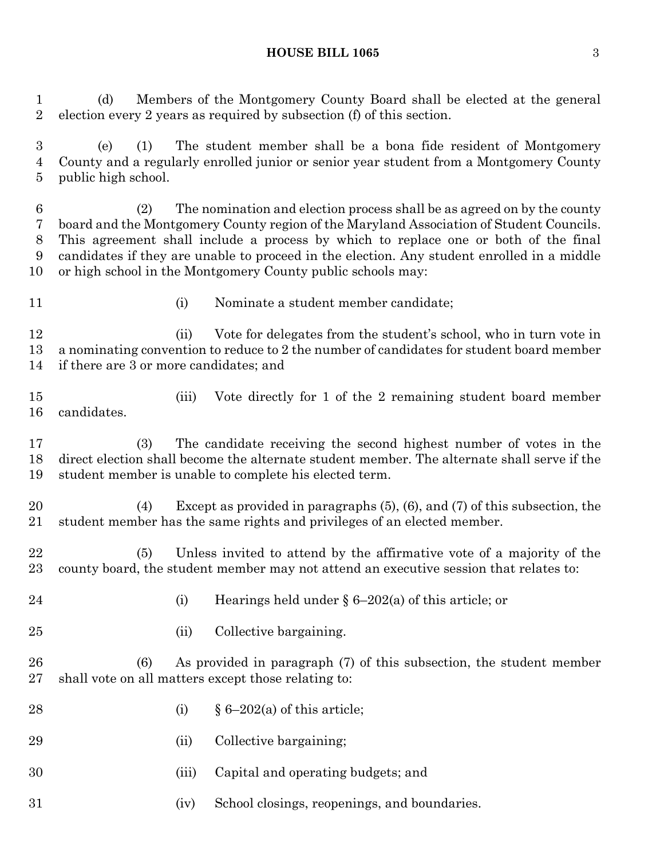### **HOUSE BILL 1065** 3

 (d) Members of the Montgomery County Board shall be elected at the general election every 2 years as required by subsection (f) of this section.

 (e) (1) The student member shall be a bona fide resident of Montgomery County and a regularly enrolled junior or senior year student from a Montgomery County public high school.

 (2) The nomination and election process shall be as agreed on by the county board and the Montgomery County region of the Maryland Association of Student Councils. This agreement shall include a process by which to replace one or both of the final candidates if they are unable to proceed in the election. Any student enrolled in a middle or high school in the Montgomery County public schools may:

- 
- (i) Nominate a student member candidate;

 (ii) Vote for delegates from the student's school, who in turn vote in a nominating convention to reduce to 2 the number of candidates for student board member if there are 3 or more candidates; and

 (iii) Vote directly for 1 of the 2 remaining student board member candidates.

 (3) The candidate receiving the second highest number of votes in the direct election shall become the alternate student member. The alternate shall serve if the student member is unable to complete his elected term.

 (4) Except as provided in paragraphs (5), (6), and (7) of this subsection, the student member has the same rights and privileges of an elected member.

 (5) Unless invited to attend by the affirmative vote of a majority of the county board, the student member may not attend an executive session that relates to:

- (i) Hearings held under § 6–202(a) of this article; or
- (ii) Collective bargaining.

 (6) As provided in paragraph (7) of this subsection, the student member shall vote on all matters except those relating to:

- 28 (i)  $§ 6-202(a)$  of this article;
- (ii) Collective bargaining;
- (iii) Capital and operating budgets; and
- (iv) School closings, reopenings, and boundaries.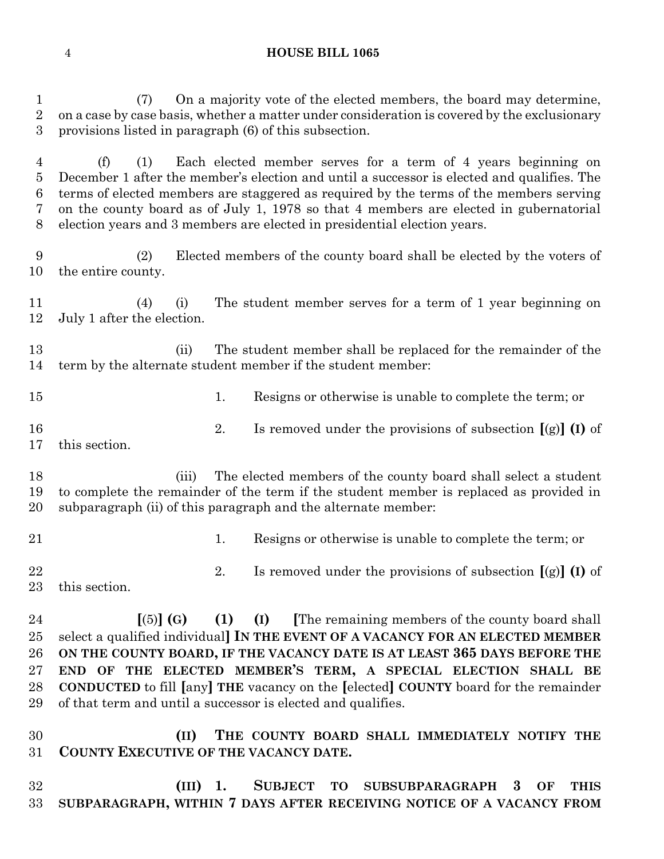| $\mathbf{1}$<br>$\overline{2}$<br>3                | On a majority vote of the elected members, the board may determine,<br>(7)<br>on a case by case basis, whether a matter under consideration is covered by the exclusionary<br>provisions listed in paragraph (6) of this subsection.                                                                                                                                                                                                                                                   |  |  |  |
|----------------------------------------------------|----------------------------------------------------------------------------------------------------------------------------------------------------------------------------------------------------------------------------------------------------------------------------------------------------------------------------------------------------------------------------------------------------------------------------------------------------------------------------------------|--|--|--|
| 4<br>5<br>6<br>7<br>8                              | Each elected member serves for a term of 4 years beginning on<br>(f)<br>(1)<br>December 1 after the member's election and until a successor is elected and qualifies. The<br>terms of elected members are staggered as required by the terms of the members serving<br>on the county board as of July 1, 1978 so that 4 members are elected in gubernatorial<br>election years and 3 members are elected in presidential election years.                                               |  |  |  |
| 9<br>10                                            | Elected members of the county board shall be elected by the voters of<br>(2)<br>the entire county.                                                                                                                                                                                                                                                                                                                                                                                     |  |  |  |
| 11<br>12                                           | The student member serves for a term of 1 year beginning on<br>(4)<br>(i)<br>July 1 after the election.                                                                                                                                                                                                                                                                                                                                                                                |  |  |  |
| 13<br>14                                           | The student member shall be replaced for the remainder of the<br>(ii)<br>term by the alternate student member if the student member:                                                                                                                                                                                                                                                                                                                                                   |  |  |  |
| 15                                                 | 1.<br>Resigns or otherwise is unable to complete the term; or                                                                                                                                                                                                                                                                                                                                                                                                                          |  |  |  |
| 16<br>17                                           | 2.<br>Is removed under the provisions of subsection $[(g)]$ (I) of<br>this section.                                                                                                                                                                                                                                                                                                                                                                                                    |  |  |  |
| 18<br>19<br>20                                     | The elected members of the county board shall select a student<br>(iii)<br>to complete the remainder of the term if the student member is replaced as provided in<br>subparagraph (ii) of this paragraph and the alternate member:                                                                                                                                                                                                                                                     |  |  |  |
| 21                                                 | Resigns or otherwise is unable to complete the term; or<br>1.                                                                                                                                                                                                                                                                                                                                                                                                                          |  |  |  |
| 22<br>23                                           | Is removed under the provisions of subsection $[(g)]$ (I) of<br>2.<br>this section.                                                                                                                                                                                                                                                                                                                                                                                                    |  |  |  |
| 24<br>$25\,$<br>$26\,$<br>$27\,$<br>28<br>29<br>30 | $(1)$ $(I)$<br>The remaining members of the county board shall<br>$\lceil (5) \rceil$ (G)<br>select a qualified individual] IN THE EVENT OF A VACANCY FOR AN ELECTED MEMBER<br>ON THE COUNTY BOARD, IF THE VACANCY DATE IS AT LEAST 365 DAYS BEFORE THE<br>END OF THE ELECTED MEMBER'S TERM, A SPECIAL ELECTION SHALL BE<br><b>CONDUCTED</b> to fill [any] THE vacancy on the [elected] COUNTY board for the remainder<br>of that term and until a successor is elected and qualifies. |  |  |  |
| $31\,$                                             | THE COUNTY BOARD SHALL IMMEDIATELY NOTIFY THE<br>(II)<br>COUNTY EXECUTIVE OF THE VACANCY DATE.                                                                                                                                                                                                                                                                                                                                                                                         |  |  |  |
| 32<br>33                                           | SUBJECT TO SUBSUBPARAGRAPH<br>$(III)$ 1.<br>OF<br><b>THIS</b><br>3<br>SUBPARAGRAPH, WITHIN 7 DAYS AFTER RECEIVING NOTICE OF A VACANCY FROM                                                                                                                                                                                                                                                                                                                                             |  |  |  |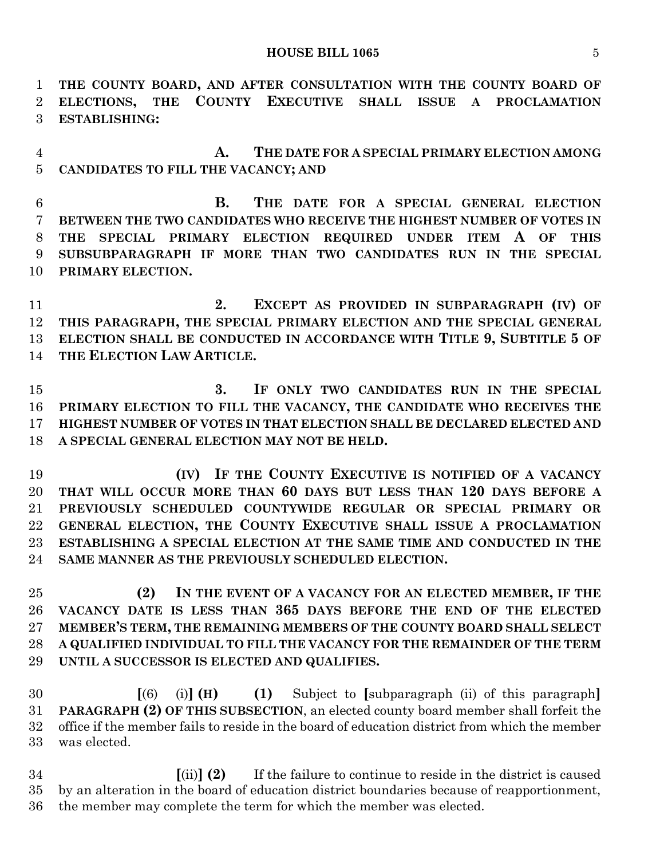#### **HOUSE BILL 1065** 5

 **THE COUNTY BOARD, AND AFTER CONSULTATION WITH THE COUNTY BOARD OF ELECTIONS, THE COUNTY EXECUTIVE SHALL ISSUE A PROCLAMATION ESTABLISHING:**

 **A. THE DATE FOR A SPECIAL PRIMARY ELECTION AMONG CANDIDATES TO FILL THE VACANCY; AND**

 **B. THE DATE FOR A SPECIAL GENERAL ELECTION BETWEEN THE TWO CANDIDATES WHO RECEIVE THE HIGHEST NUMBER OF VOTES IN THE SPECIAL PRIMARY ELECTION REQUIRED UNDER ITEM A OF THIS SUBSUBPARAGRAPH IF MORE THAN TWO CANDIDATES RUN IN THE SPECIAL PRIMARY ELECTION.**

 **2. EXCEPT AS PROVIDED IN SUBPARAGRAPH (IV) OF THIS PARAGRAPH, THE SPECIAL PRIMARY ELECTION AND THE SPECIAL GENERAL ELECTION SHALL BE CONDUCTED IN ACCORDANCE WITH TITLE 9, SUBTITLE 5 OF THE ELECTION LAW ARTICLE.**

 **3. IF ONLY TWO CANDIDATES RUN IN THE SPECIAL PRIMARY ELECTION TO FILL THE VACANCY, THE CANDIDATE WHO RECEIVES THE HIGHEST NUMBER OF VOTES IN THAT ELECTION SHALL BE DECLARED ELECTED AND A SPECIAL GENERAL ELECTION MAY NOT BE HELD.**

 **(IV) IF THE COUNTY EXECUTIVE IS NOTIFIED OF A VACANCY THAT WILL OCCUR MORE THAN 60 DAYS BUT LESS THAN 120 DAYS BEFORE A PREVIOUSLY SCHEDULED COUNTYWIDE REGULAR OR SPECIAL PRIMARY OR GENERAL ELECTION, THE COUNTY EXECUTIVE SHALL ISSUE A PROCLAMATION ESTABLISHING A SPECIAL ELECTION AT THE SAME TIME AND CONDUCTED IN THE SAME MANNER AS THE PREVIOUSLY SCHEDULED ELECTION.**

 **(2) IN THE EVENT OF A VACANCY FOR AN ELECTED MEMBER, IF THE VACANCY DATE IS LESS THAN 365 DAYS BEFORE THE END OF THE ELECTED MEMBER'S TERM, THE REMAINING MEMBERS OF THE COUNTY BOARD SHALL SELECT A QUALIFIED INDIVIDUAL TO FILL THE VACANCY FOR THE REMAINDER OF THE TERM UNTIL A SUCCESSOR IS ELECTED AND QUALIFIES.**

 **[**(6) (i)**] (H) (1)** Subject to **[**subparagraph (ii) of this paragraph**] PARAGRAPH (2) OF THIS SUBSECTION**, an elected county board member shall forfeit the office if the member fails to reside in the board of education district from which the member was elected.

 **[**(ii)**] (2)** If the failure to continue to reside in the district is caused by an alteration in the board of education district boundaries because of reapportionment, the member may complete the term for which the member was elected.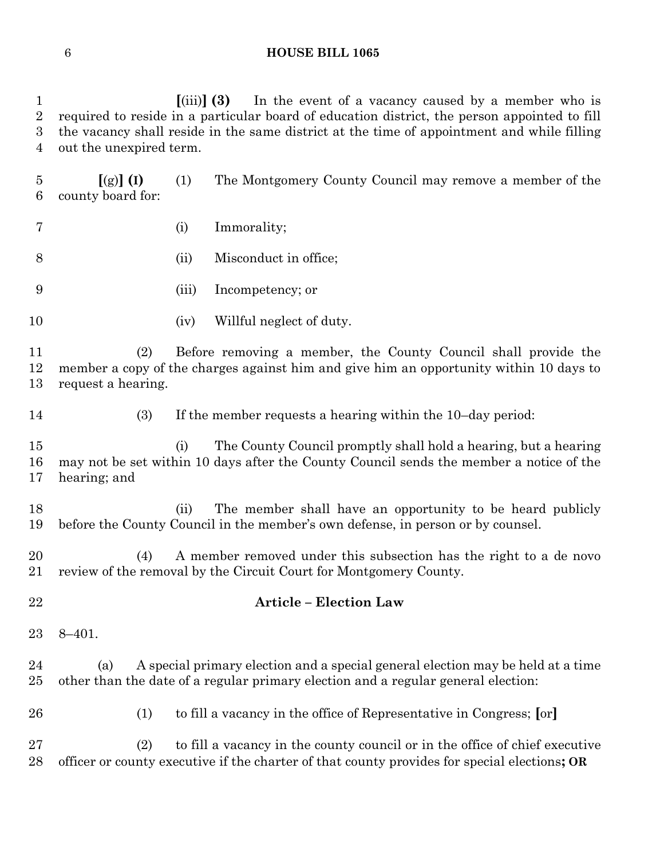|             |                                                                                              |                    | $\left[\text{(iii)}\right]$ (3) In the event of a vacancy caused by a member who is          |  |
|-------------|----------------------------------------------------------------------------------------------|--------------------|----------------------------------------------------------------------------------------------|--|
| $2^{\circ}$ |                                                                                              |                    | required to reside in a particular board of education district, the person appointed to fill |  |
|             | 3 the vacancy shall reside in the same district at the time of appointment and while filling |                    |                                                                                              |  |
|             | 4 out the unexpired term.                                                                    |                    |                                                                                              |  |
| 5           | $[(g)] (I)$ (1)<br>6 county board for:                                                       |                    | The Montgomery County Council may remove a member of the                                     |  |
| 7           |                                                                                              | $\left( 1 \right)$ | Immorality;                                                                                  |  |

- (ii) Misconduct in office;
- (iii) Incompetency; or
- 10 (iv) Willful neglect of duty.

**Article – Election Law**

 (2) Before removing a member, the County Council shall provide the member a copy of the charges against him and give him an opportunity within 10 days to request a hearing.

(3) If the member requests a hearing within the 10–day period:

 (i) The County Council promptly shall hold a hearing, but a hearing may not be set within 10 days after the County Council sends the member a notice of the hearing; and

 (ii) The member shall have an opportunity to be heard publicly before the County Council in the member's own defense, in person or by counsel.

 (4) A member removed under this subsection has the right to a de novo review of the removal by the Circuit Court for Montgomery County.

- 
- 8–401.

 (a) A special primary election and a special general election may be held at a time other than the date of a regular primary election and a regular general election:

(1) to fill a vacancy in the office of Representative in Congress; **[**or**]**

 (2) to fill a vacancy in the county council or in the office of chief executive officer or county executive if the charter of that county provides for special elections**; OR**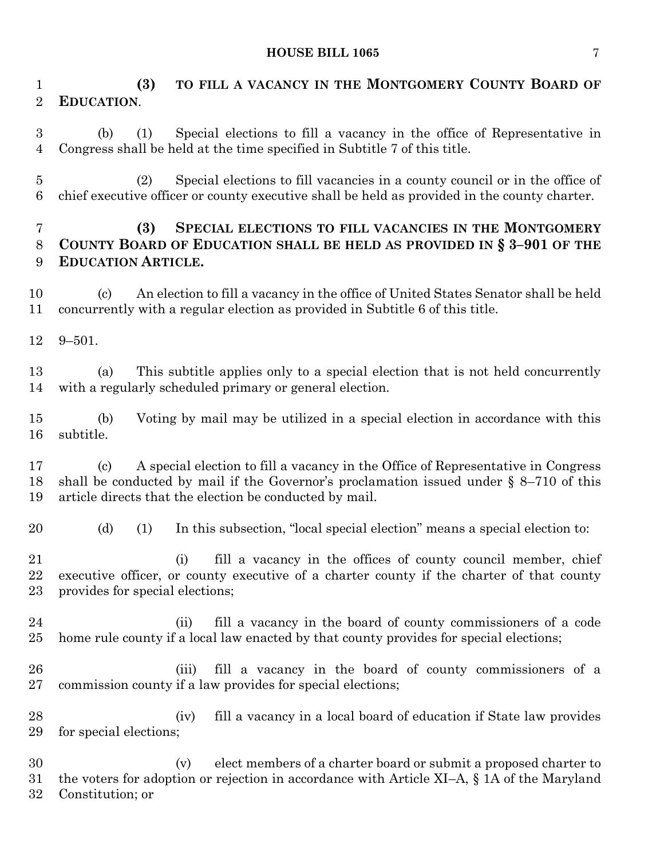### **HOUSE BILL 1065** 7

 **(3) TO FILL A VACANCY IN THE MONTGOMERY COUNTY BOARD OF EDUCATION**. (b) (1) Special elections to fill a vacancy in the office of Representative in Congress shall be held at the time specified in Subtitle 7 of this title. (2) Special elections to fill vacancies in a county council or in the office of chief executive officer or county executive shall be held as provided in the county charter. **(3) SPECIAL ELECTIONS TO FILL VACANCIES IN THE MONTGOMERY COUNTY BOARD OF EDUCATION SHALL BE HELD AS PROVIDED IN § 3–901 OF THE EDUCATION ARTICLE.** (c) An election to fill a vacancy in the office of United States Senator shall be held concurrently with a regular election as provided in Subtitle 6 of this title. 9–501. (a) This subtitle applies only to a special election that is not held concurrently with a regularly scheduled primary or general election. (b) Voting by mail may be utilized in a special election in accordance with this subtitle. (c) A special election to fill a vacancy in the Office of Representative in Congress shall be conducted by mail if the Governor's proclamation issued under § 8–710 of this article directs that the election be conducted by mail. (d) (1) In this subsection, "local special election" means a special election to: (i) fill a vacancy in the offices of county council member, chief executive officer, or county executive of a charter county if the charter of that county provides for special elections; (ii) fill a vacancy in the board of county commissioners of a code home rule county if a local law enacted by that county provides for special elections; (iii) fill a vacancy in the board of county commissioners of a commission county if a law provides for special elections; (iv) fill a vacancy in a local board of education if State law provides for special elections; (v) elect members of a charter board or submit a proposed charter to the voters for adoption or rejection in accordance with Article XI–A, § 1A of the Maryland Constitution; or